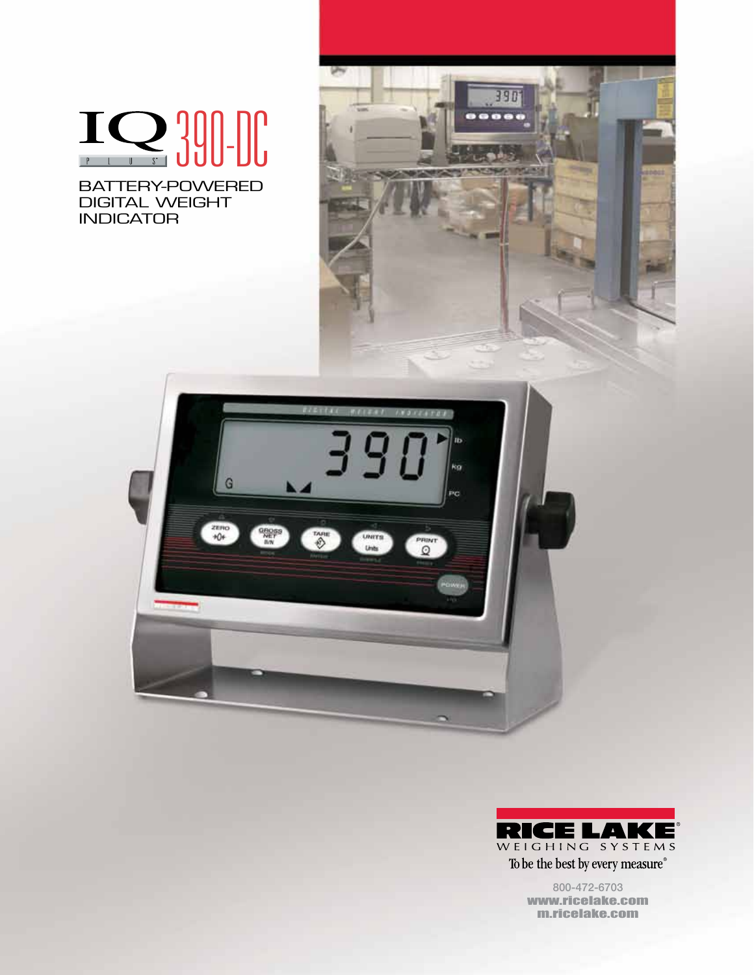# **1Q 390-DC**

BATTERY-POWERED DIGITAL WEIGHT INDICATOR







800-472-6703 www.ricelake.com m.ricelake.com